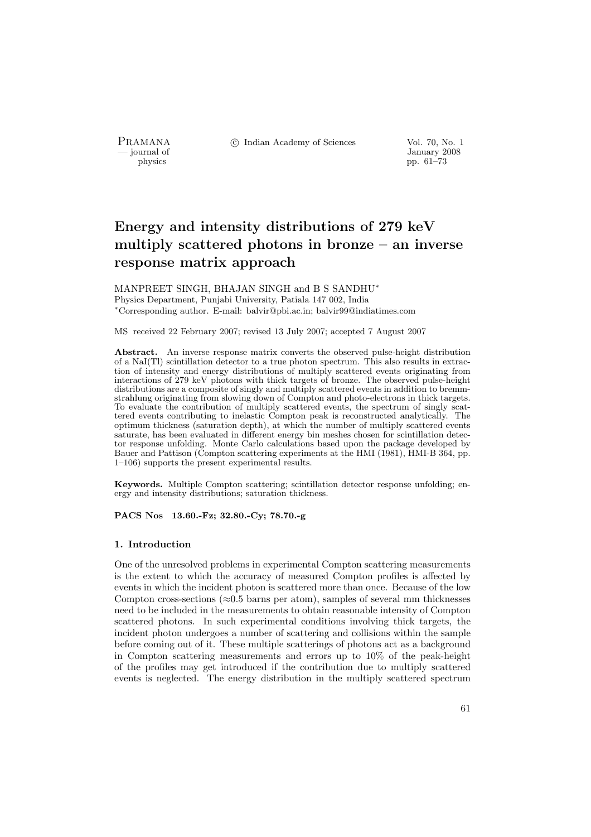PRAMANA °c Indian Academy of Sciences Vol. 70, No. 1

physics and the set of the set of the set of the set of the set of the set of the set of the set of the set of the set of the set of the set of the set of the set of the set of the set of the set of the set of the set of t physics pp. 61–73

# Energy and intensity distributions of 279 keV multiply scattered photons in bronze – an inverse response matrix approach

MANPREET SINGH, BHAJAN SINGH and B S SANDHU<sup>∗</sup> Physics Department, Punjabi University, Patiala 147 002, India <sup>∗</sup>Corresponding author. E-mail: balvir@pbi.ac.in; balvir99@indiatimes.com

MS received 22 February 2007; revised 13 July 2007; accepted 7 August 2007

Abstract. An inverse response matrix converts the observed pulse-height distribution of a NaI(Tl) scintillation detector to a true photon spectrum. This also results in extraction of intensity and energy distributions of multiply scattered events originating from interactions of 279 keV photons with thick targets of bronze. The observed pulse-height distributions are a composite of singly and multiply scattered events in addition to bremmstrahlung originating from slowing down of Compton and photo-electrons in thick targets. To evaluate the contribution of multiply scattered events, the spectrum of singly scattered events contributing to inelastic Compton peak is reconstructed analytically. The optimum thickness (saturation depth), at which the number of multiply scattered events saturate, has been evaluated in different energy bin meshes chosen for scintillation detector response unfolding. Monte Carlo calculations based upon the package developed by Bauer and Pattison (Compton scattering experiments at the HMI (1981), HMI-B 364, pp. 1–106) supports the present experimental results.

Keywords. Multiple Compton scattering; scintillation detector response unfolding; energy and intensity distributions; saturation thickness.

PACS Nos 13.60.-Fz; 32.80.-Cy; 78.70.-g

## 1. Introduction

One of the unresolved problems in experimental Compton scattering measurements is the extent to which the accuracy of measured Compton profiles is affected by events in which the incident photon is scattered more than once. Because of the low Compton cross-sections ( $\approx 0.5$  barns per atom), samples of several mm thicknesses need to be included in the measurements to obtain reasonable intensity of Compton scattered photons. In such experimental conditions involving thick targets, the incident photon undergoes a number of scattering and collisions within the sample before coming out of it. These multiple scatterings of photons act as a background in Compton scattering measurements and errors up to 10% of the peak-height of the profiles may get introduced if the contribution due to multiply scattered events is neglected. The energy distribution in the multiply scattered spectrum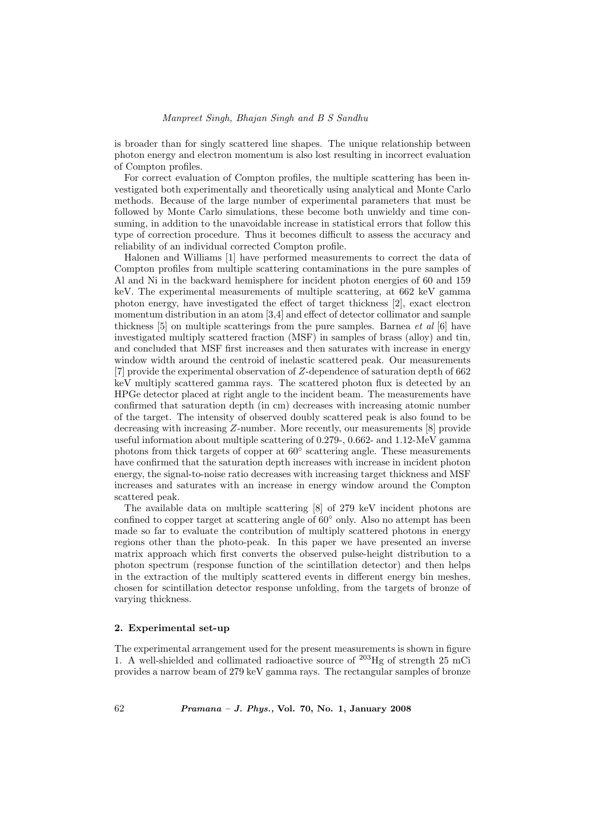is broader than for singly scattered line shapes. The unique relationship between photon energy and electron momentum is also lost resulting in incorrect evaluation of Compton profiles.

For correct evaluation of Compton profiles, the multiple scattering has been investigated both experimentally and theoretically using analytical and Monte Carlo methods. Because of the large number of experimental parameters that must be followed by Monte Carlo simulations, these become both unwieldy and time consuming, in addition to the unavoidable increase in statistical errors that follow this type of correction procedure. Thus it becomes difficult to assess the accuracy and reliability of an individual corrected Compton profile.

Halonen and Williams [1] have performed measurements to correct the data of Compton profiles from multiple scattering contaminations in the pure samples of Al and Ni in the backward hemisphere for incident photon energies of 60 and 159 keV. The experimental measurements of multiple scattering, at 662 keV gamma photon energy, have investigated the effect of target thickness [2], exact electron momentum distribution in an atom [3,4] and effect of detector collimator and sample thickness [5] on multiple scatterings from the pure samples. Barnea *et al* [6] have investigated multiply scattered fraction (MSF) in samples of brass (alloy) and tin, and concluded that MSF first increases and then saturates with increase in energy window width around the centroid of inelastic scattered peak. Our measurements [7] provide the experimental observation of Z-dependence of saturation depth of 662 keV multiply scattered gamma rays. The scattered photon flux is detected by an HPGe detector placed at right angle to the incident beam. The measurements have confirmed that saturation depth (in cm) decreases with increasing atomic number of the target. The intensity of observed doubly scattered peak is also found to be decreasing with increasing Z-number. More recently, our measurements [8] provide useful information about multiple scattering of 0.279-, 0.662- and 1.12-MeV gamma photons from thick targets of copper at  $60^{\circ}$  scattering angle. These measurements have confirmed that the saturation depth increases with increase in incident photon energy, the signal-to-noise ratio decreases with increasing target thickness and MSF increases and saturates with an increase in energy window around the Compton scattered peak.

The available data on multiple scattering [8] of 279 keV incident photons are confined to copper target at scattering angle of 60◦ only. Also no attempt has been made so far to evaluate the contribution of multiply scattered photons in energy regions other than the photo-peak. In this paper we have presented an inverse matrix approach which first converts the observed pulse-height distribution to a photon spectrum (response function of the scintillation detector) and then helps in the extraction of the multiply scattered events in different energy bin meshes, chosen for scintillation detector response unfolding, from the targets of bronze of varying thickness.

## 2. Experimental set-up

The experimental arrangement used for the present measurements is shown in figure 1. A well-shielded and collimated radioactive source of  $^{203}$ Hg of strength 25 mCi provides a narrow beam of 279 keV gamma rays. The rectangular samples of bronze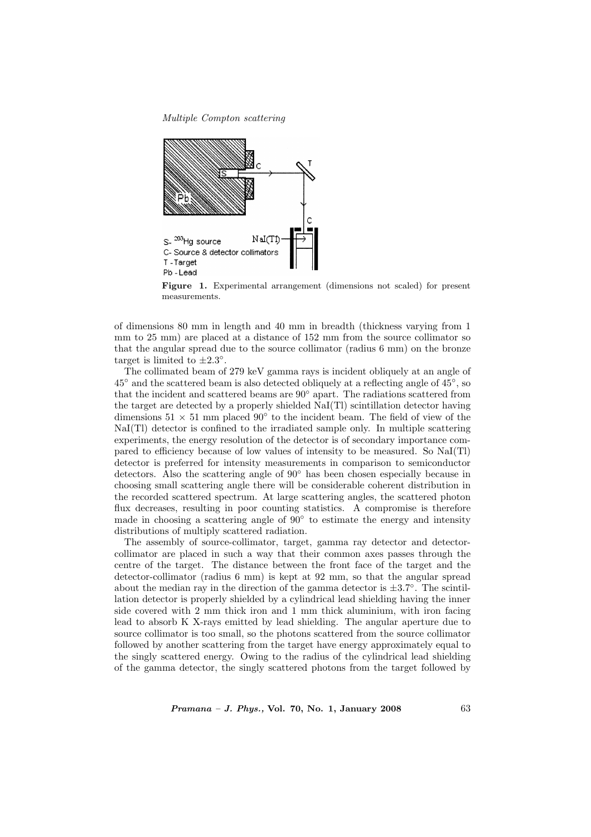Multiple Compton scattering



Figure 1. Experimental arrangement (dimensions not scaled) for present measurements.

of dimensions 80 mm in length and 40 mm in breadth (thickness varying from 1 mm to 25 mm) are placed at a distance of 152 mm from the source collimator so that the angular spread due to the source collimator (radius 6 mm) on the bronze target is limited to  $\pm 2.3^{\circ}$ .

The collimated beam of 279 keV gamma rays is incident obliquely at an angle of  $45°$  and the scattered beam is also detected obliquely at a reflecting angle of  $45°$ , so that the incident and scattered beams are 90◦ apart. The radiations scattered from the target are detected by a properly shielded NaI(Tl) scintillation detector having dimensions  $51 \times 51$  mm placed  $90^{\circ}$  to the incident beam. The field of view of the NaI(Tl) detector is confined to the irradiated sample only. In multiple scattering experiments, the energy resolution of the detector is of secondary importance compared to efficiency because of low values of intensity to be measured. So NaI(Tl) detector is preferred for intensity measurements in comparison to semiconductor detectors. Also the scattering angle of 90◦ has been chosen especially because in choosing small scattering angle there will be considerable coherent distribution in the recorded scattered spectrum. At large scattering angles, the scattered photon flux decreases, resulting in poor counting statistics. A compromise is therefore made in choosing a scattering angle of  $90°$  to estimate the energy and intensity distributions of multiply scattered radiation.

The assembly of source-collimator, target, gamma ray detector and detectorcollimator are placed in such a way that their common axes passes through the centre of the target. The distance between the front face of the target and the detector-collimator (radius 6 mm) is kept at 92 mm, so that the angular spread about the median ray in the direction of the gamma detector is  $\pm 3.7^\circ$ . The scintillation detector is properly shielded by a cylindrical lead shielding having the inner side covered with 2 mm thick iron and 1 mm thick aluminium, with iron facing lead to absorb K X-rays emitted by lead shielding. The angular aperture due to source collimator is too small, so the photons scattered from the source collimator followed by another scattering from the target have energy approximately equal to the singly scattered energy. Owing to the radius of the cylindrical lead shielding of the gamma detector, the singly scattered photons from the target followed by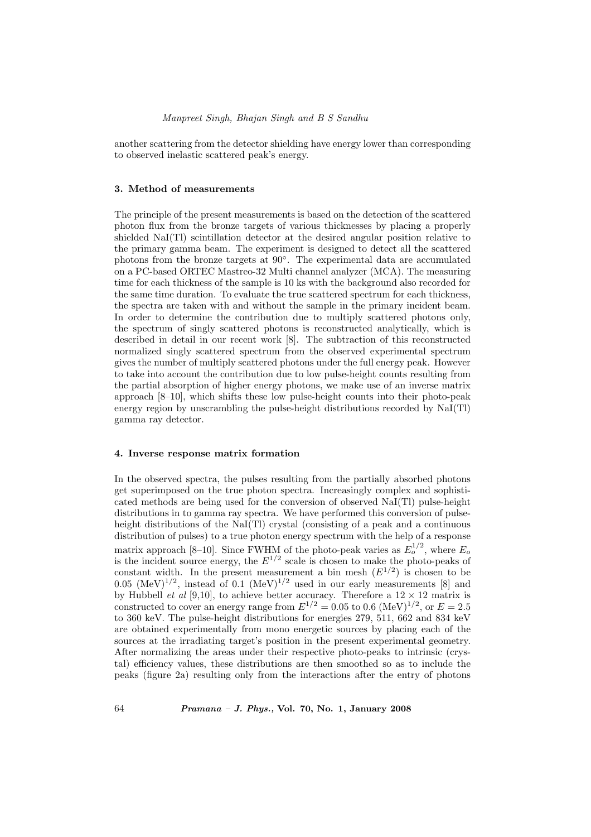#### Manpreet Singh, Bhajan Singh and B S Sandhu

another scattering from the detector shielding have energy lower than corresponding to observed inelastic scattered peak's energy.

## 3. Method of measurements

The principle of the present measurements is based on the detection of the scattered photon flux from the bronze targets of various thicknesses by placing a properly shielded NaI(Tl) scintillation detector at the desired angular position relative to the primary gamma beam. The experiment is designed to detect all the scattered photons from the bronze targets at 90◦ . The experimental data are accumulated on a PC-based ORTEC Mastreo-32 Multi channel analyzer (MCA). The measuring time for each thickness of the sample is 10 ks with the background also recorded for the same time duration. To evaluate the true scattered spectrum for each thickness, the spectra are taken with and without the sample in the primary incident beam. In order to determine the contribution due to multiply scattered photons only, the spectrum of singly scattered photons is reconstructed analytically, which is described in detail in our recent work [8]. The subtraction of this reconstructed normalized singly scattered spectrum from the observed experimental spectrum gives the number of multiply scattered photons under the full energy peak. However to take into account the contribution due to low pulse-height counts resulting from the partial absorption of higher energy photons, we make use of an inverse matrix approach [8–10], which shifts these low pulse-height counts into their photo-peak energy region by unscrambling the pulse-height distributions recorded by NaI(Tl) gamma ray detector.

#### 4. Inverse response matrix formation

In the observed spectra, the pulses resulting from the partially absorbed photons get superimposed on the true photon spectra. Increasingly complex and sophisticated methods are being used for the conversion of observed NaI(Tl) pulse-height distributions in to gamma ray spectra. We have performed this conversion of pulseheight distributions of the NaI(Tl) crystal (consisting of a peak and a continuous distribution of pulses) to a true photon energy spectrum with the help of a response matrix approach [8–10]. Since FWHM of the photo-peak varies as  $E_o^{1/2}$ , where  $E_o$ is the incident source energy, the  $E^{1/2}$  scale is chosen to make the photo-peaks of constant width. In the present measurement a bin mesh  $(E^{1/2})$  is chosen to be 0.05 (MeV)<sup>1/2</sup>, instead of 0.1 (MeV)<sup>1/2</sup> used in our early measurements [8] and by Hubbell *et al* [9,10], to achieve better accuracy. Therefore a  $12 \times 12$  matrix is constructed to cover an energy range from  $E^{1/2} = 0.05$  to 0.6 (MeV)<sup>1/2</sup>, or  $E = 2.5$ to 360 keV. The pulse-height distributions for energies 279, 511, 662 and 834 keV are obtained experimentally from mono energetic sources by placing each of the sources at the irradiating target's position in the present experimental geometry. After normalizing the areas under their respective photo-peaks to intrinsic (crystal) efficiency values, these distributions are then smoothed so as to include the peaks (figure 2a) resulting only from the interactions after the entry of photons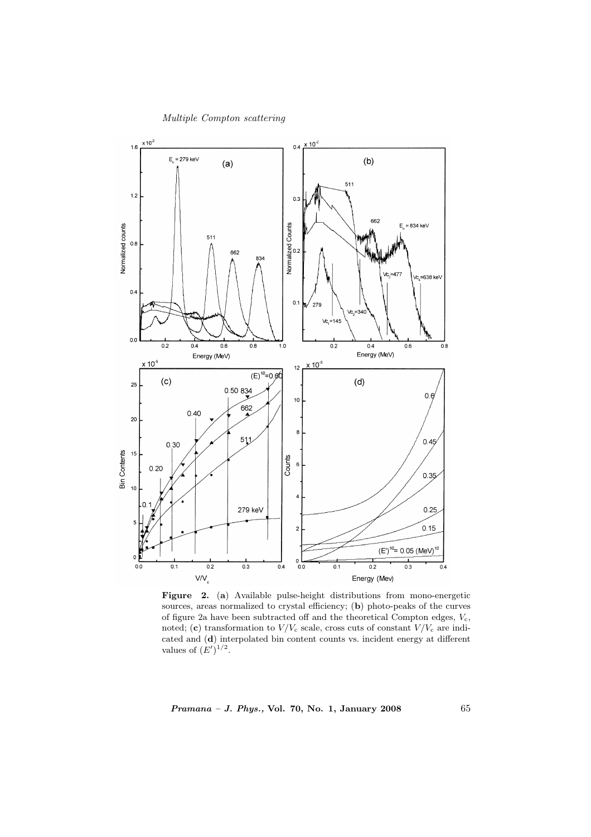



Figure 2. (a) Available pulse-height distributions from mono-energetic sources, areas normalized to crystal efficiency; (b) photo-peaks of the curves of figure 2a have been subtracted off and the theoretical Compton edges,  $V_c$ , noted; (c) transformation to  $V/V_c$  scale, cross cuts of constant  $V/V_c$  are indicated and (d) interpolated bin content counts vs. incident energy at different values of  $(E')^{1/2}$ .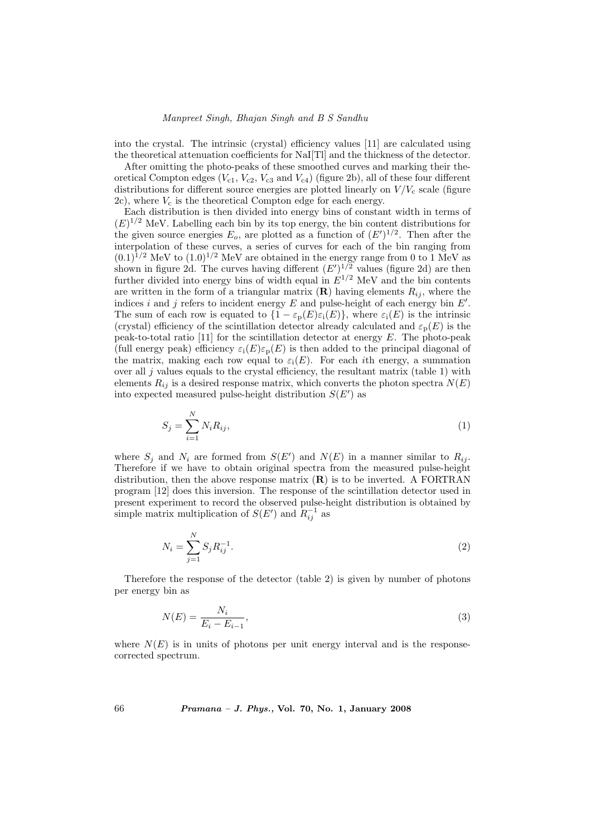into the crystal. The intrinsic (crystal) efficiency values [11] are calculated using the theoretical attenuation coefficients for NaI[Tl] and the thickness of the detector.

After omitting the photo-peaks of these smoothed curves and marking their theoretical Compton edges  $(V_{c1}, V_{c2}, V_{c3}$  and  $V_{c4})$  (figure 2b), all of these four different distributions for different source energies are plotted linearly on  $V/V_c$  scale (figure 2c), where  $V_c$  is the theoretical Compton edge for each energy.

Each distribution is then divided into energy bins of constant width in terms of  $(E)^{1/2}$  MeV. Labelling each bin by its top energy, the bin content distributions for the given source energies  $E_o$ , are plotted as a function of  $(E')^{1/2}$ . Then after the interpolation of these curves, a series of curves for each of the bin ranging from  $(0.1)^{1/2}$  MeV to  $(1.0)^{1/2}$  MeV are obtained in the energy range from 0 to 1 MeV as shown in figure 2d. The curves having different  $(E')^{1/2}$  values (figure 2d) are then further divided into energy bins of width equal in  $E^{1/2}$  MeV and the bin contents are written in the form of a triangular matrix  $(R)$  having elements  $R_{ij}$ , where the indices i and j refers to incident energy  $E$  and pulse-height of each energy bin  $E'$ . The sum of each row is equated to  $\{1 - \varepsilon_n(E)\varepsilon_i(E)\}\,$ , where  $\varepsilon_i(E)$  is the intrinsic (crystal) efficiency of the scintillation detector already calculated and  $\varepsilon_{p}(E)$  is the peak-to-total ratio [11] for the scintillation detector at energy  $E$ . The photo-peak (full energy peak) efficiency  $\varepsilon_i(E)\varepsilon_p(E)$  is then added to the principal diagonal of the matrix, making each row equal to  $\varepsilon_i(E)$ . For each *i*th energy, a summation over all  $j$  values equals to the crystal efficiency, the resultant matrix (table 1) with elements  $R_{ij}$  is a desired response matrix, which converts the photon spectra  $N(E)$ into expected measured pulse-height distribution  $S(E')$  as

$$
S_j = \sum_{i=1}^{N} N_i R_{ij},
$$
\n(1)

where  $S_j$  and  $N_i$  are formed from  $S(E')$  and  $N(E)$  in a manner similar to  $R_{ij}$ . Therefore if we have to obtain original spectra from the measured pulse-height distribution, then the above response matrix  $(R)$  is to be inverted. A FORTRAN program [12] does this inversion. The response of the scintillation detector used in present experiment to record the observed pulse-height distribution is obtained by simple matrix multiplication of  $S(E')$  and  $R_{ij}^{-1}$  as

$$
N_i = \sum_{j=1}^{N} S_j R_{ij}^{-1}.
$$
\n(2)

Therefore the response of the detector (table 2) is given by number of photons per energy bin as

$$
N(E) = \frac{N_i}{E_i - E_{i-1}},\tag{3}
$$

where  $N(E)$  is in units of photons per unit energy interval and is the responsecorrected spectrum.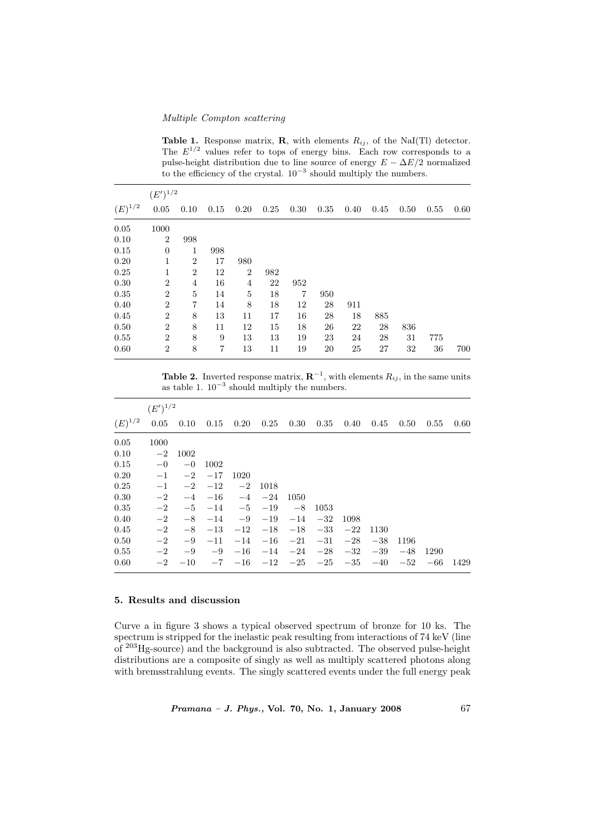## Multiple Compton scattering

**Table 1.** Response matrix, **R**, with elements  $R_{ij}$ , of the NaI(Tl) detector. The  $E^{1/2}$  values refer to tops of energy bins. Each row corresponds to a pulse-height distribution due to line source of energy  $E - \Delta E/2$  normalized to the efficiency of the crystal.  $10^{-3}$  should multiply the numbers.

| $(E')^{1/2}$ |                |                |                |                |      |                |      |      |      |      |      |      |
|--------------|----------------|----------------|----------------|----------------|------|----------------|------|------|------|------|------|------|
| $(E)^{1/2}$  | 0.05           | 0.10           | 0.15           | 0.20           | 0.25 | 0.30           | 0.35 | 0.40 | 0.45 | 0.50 | 0.55 | 0.60 |
| 0.05         | 1000           |                |                |                |      |                |      |      |      |      |      |      |
| 0.10         | $\overline{2}$ | 998            |                |                |      |                |      |      |      |      |      |      |
| 0.15         | $\theta$       | 1              | 998            |                |      |                |      |      |      |      |      |      |
| 0.20         | 1              | $\overline{2}$ | 17             | 980            |      |                |      |      |      |      |      |      |
| 0.25         | 1              | $\overline{2}$ | 12             | $\overline{2}$ | 982  |                |      |      |      |      |      |      |
| 0.30         | $\overline{2}$ | $\overline{4}$ | 16             | 4              | 22   | 952            |      |      |      |      |      |      |
| 0.35         | $\overline{2}$ | $\overline{5}$ | 14             | $\overline{5}$ | 18   | $\overline{7}$ | 950  |      |      |      |      |      |
| 0.40         | $\overline{2}$ | 7              | 14             | 8              | 18   | 12             | 28   | 911  |      |      |      |      |
| 0.45         | $\overline{2}$ | 8              | 13             | 11             | 17   | 16             | 28   | 18   | 885  |      |      |      |
| 0.50         | $\overline{2}$ | 8              | 11             | 12             | 15   | 18             | 26   | 22   | 28   | 836  |      |      |
| 0.55         | $\overline{2}$ | 8              | 9              | 13             | 13   | 19             | 23   | 24   | 28   | 31   | 775  |      |
| 0.60         | $\overline{2}$ | 8              | $\overline{7}$ | 13             | 11   | 19             | 20   | 25   | 27   | 32   | 36   | 700  |

**Table 2.** Inverted response matrix,  $\mathbf{R}^{-1}$ , with elements  $R_{ij}$ , in the same units as table 1.  $10^{-3}$  should multiply the numbers.

|             | $(E')^{1/2}$ |                             |       |       |       |          |          |       |       |       |       |      |
|-------------|--------------|-----------------------------|-------|-------|-------|----------|----------|-------|-------|-------|-------|------|
| $(E)^{1/2}$ |              | $0.05$ $0.10$ $0.15$ $0.20$ |       |       | 0.25  | $0.30\,$ | $0.35\,$ | 0.40  | 0.45  | 0.50  | 0.55  | 0.60 |
| 0.05        | 1000         |                             |       |       |       |          |          |       |       |       |       |      |
| 0.10        | $-2$         | 1002                        |       |       |       |          |          |       |       |       |       |      |
| 0.15        | $-0$         | $-0$                        | 1002  |       |       |          |          |       |       |       |       |      |
| 0.20        | $-1$         | $-2$                        | $-17$ | 1020  |       |          |          |       |       |       |       |      |
| 0.25        | $-1$         | $-2$                        | $-12$ | $-2$  | 1018  |          |          |       |       |       |       |      |
| 0.30        | $-2$         | $-4$                        | $-16$ | $-4$  | $-24$ | 1050     |          |       |       |       |       |      |
| 0.35        | $-2$         | $-5$                        | $-14$ | $-5$  | $-19$ | $-8$     | 1053     |       |       |       |       |      |
| 0.40        | $-2$         | $-8$                        | $-14$ | $-9$  | $-19$ | $-14$    | $-32$    | 1098  |       |       |       |      |
| 0.45        | $-2$         | $-8$                        | $-13$ | $-12$ | $-18$ | $-18$    | $-33$    | $-22$ | 1130  |       |       |      |
| 0.50        | $-2$         | $-9$                        | $-11$ | $-14$ | $-16$ | $-21$    | $-31$    | $-28$ | $-38$ | 1196  |       |      |
| 0.55        | $-2$         | $-9$                        | $-9$  | $-16$ | $-14$ | $-24$    | $-28$    | $-32$ | $-39$ | $-48$ | 1290  |      |
| 0.60        | $-2$         | $-10$                       | $-7$  | $-16$ | $-12$ | $-25$    | $-25$    | $-35$ | $-40$ | $-52$ | $-66$ | 1429 |

## 5. Results and discussion

Curve a in figure 3 shows a typical observed spectrum of bronze for 10 ks. The spectrum is stripped for the inelastic peak resulting from interactions of 74 keV (line of <sup>203</sup>Hg-source) and the background is also subtracted. The observed pulse-height distributions are a composite of singly as well as multiply scattered photons along with bremsstrahlung events. The singly scattered events under the full energy peak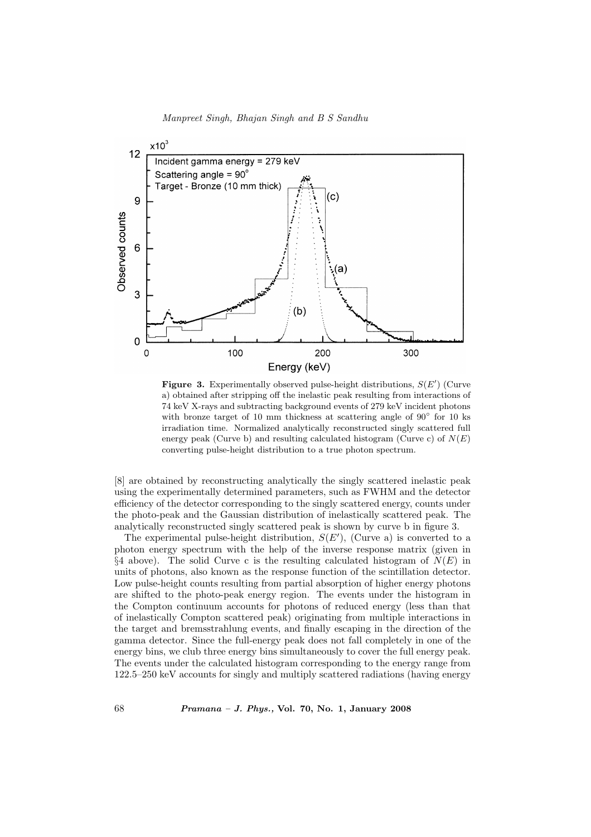



Figure 3. Experimentally observed pulse-height distributions,  $S(E')$  (Curve a) obtained after stripping off the inelastic peak resulting from interactions of 74 keV X-rays and subtracting background events of 279 keV incident photons with bronze target of 10 mm thickness at scattering angle of  $90°$  for 10 ks irradiation time. Normalized analytically reconstructed singly scattered full energy peak (Curve b) and resulting calculated histogram (Curve c) of  $N(E)$ converting pulse-height distribution to a true photon spectrum.

[8] are obtained by reconstructing analytically the singly scattered inelastic peak using the experimentally determined parameters, such as FWHM and the detector efficiency of the detector corresponding to the singly scattered energy, counts under the photo-peak and the Gaussian distribution of inelastically scattered peak. The analytically reconstructed singly scattered peak is shown by curve b in figure 3.

The experimental pulse-height distribution,  $S(E')$ , (Curve a) is converted to a photon energy spectrum with the help of the inverse response matrix (given in  $\S4$  above). The solid Curve c is the resulting calculated histogram of  $N(E)$  in units of photons, also known as the response function of the scintillation detector. Low pulse-height counts resulting from partial absorption of higher energy photons are shifted to the photo-peak energy region. The events under the histogram in the Compton continuum accounts for photons of reduced energy (less than that of inelastically Compton scattered peak) originating from multiple interactions in the target and bremsstrahlung events, and finally escaping in the direction of the gamma detector. Since the full-energy peak does not fall completely in one of the energy bins, we club three energy bins simultaneously to cover the full energy peak. The events under the calculated histogram corresponding to the energy range from 122.5–250 keV accounts for singly and multiply scattered radiations (having energy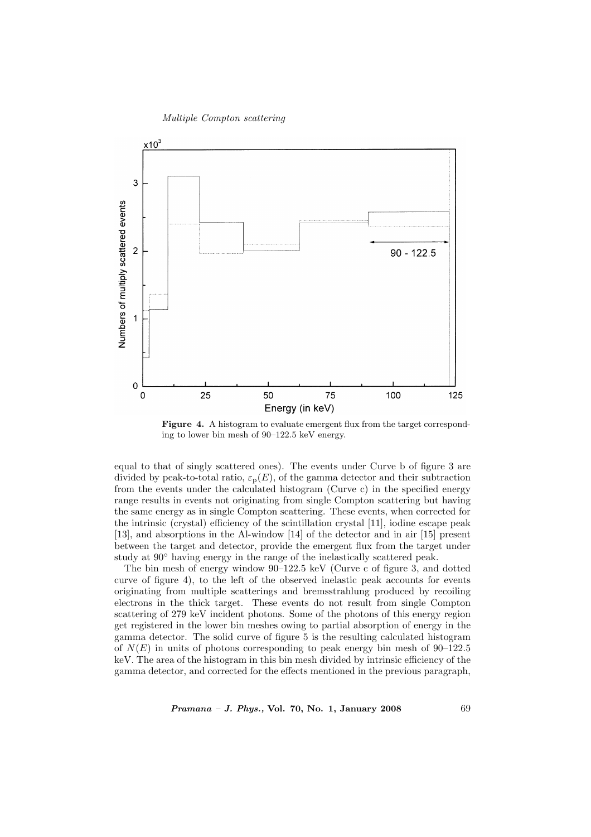



Figure 4. A histogram to evaluate emergent flux from the target corresponding to lower bin mesh of 90–122.5 keV energy.

equal to that of singly scattered ones). The events under Curve b of figure 3 are divided by peak-to-total ratio,  $\varepsilon_p(E)$ , of the gamma detector and their subtraction from the events under the calculated histogram (Curve c) in the specified energy range results in events not originating from single Compton scattering but having the same energy as in single Compton scattering. These events, when corrected for the intrinsic (crystal) efficiency of the scintillation crystal [11], iodine escape peak [13], and absorptions in the Al-window [14] of the detector and in air [15] present between the target and detector, provide the emergent flux from the target under study at 90◦ having energy in the range of the inelastically scattered peak.

The bin mesh of energy window 90–122.5 keV (Curve c of figure 3, and dotted curve of figure 4), to the left of the observed inelastic peak accounts for events originating from multiple scatterings and bremsstrahlung produced by recoiling electrons in the thick target. These events do not result from single Compton scattering of 279 keV incident photons. Some of the photons of this energy region get registered in the lower bin meshes owing to partial absorption of energy in the gamma detector. The solid curve of figure 5 is the resulting calculated histogram of  $N(E)$  in units of photons corresponding to peak energy bin mesh of 90–122.5 keV. The area of the histogram in this bin mesh divided by intrinsic efficiency of the gamma detector, and corrected for the effects mentioned in the previous paragraph,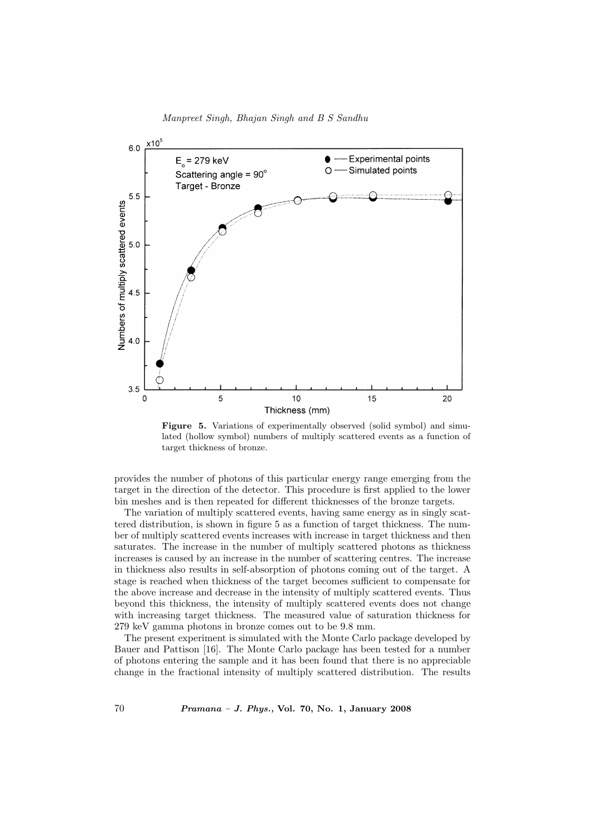

Manpreet Singh, Bhajan Singh and B S Sandhu

Figure 5. Variations of experimentally observed (solid symbol) and simulated (hollow symbol) numbers of multiply scattered events as a function of target thickness of bronze.

provides the number of photons of this particular energy range emerging from the target in the direction of the detector. This procedure is first applied to the lower bin meshes and is then repeated for different thicknesses of the bronze targets.

The variation of multiply scattered events, having same energy as in singly scattered distribution, is shown in figure 5 as a function of target thickness. The number of multiply scattered events increases with increase in target thickness and then saturates. The increase in the number of multiply scattered photons as thickness increases is caused by an increase in the number of scattering centres. The increase in thickness also results in self-absorption of photons coming out of the target. A stage is reached when thickness of the target becomes sufficient to compensate for the above increase and decrease in the intensity of multiply scattered events. Thus beyond this thickness, the intensity of multiply scattered events does not change with increasing target thickness. The measured value of saturation thickness for 279 keV gamma photons in bronze comes out to be 9.8 mm.

The present experiment is simulated with the Monte Carlo package developed by Bauer and Pattison [16]. The Monte Carlo package has been tested for a number of photons entering the sample and it has been found that there is no appreciable change in the fractional intensity of multiply scattered distribution. The results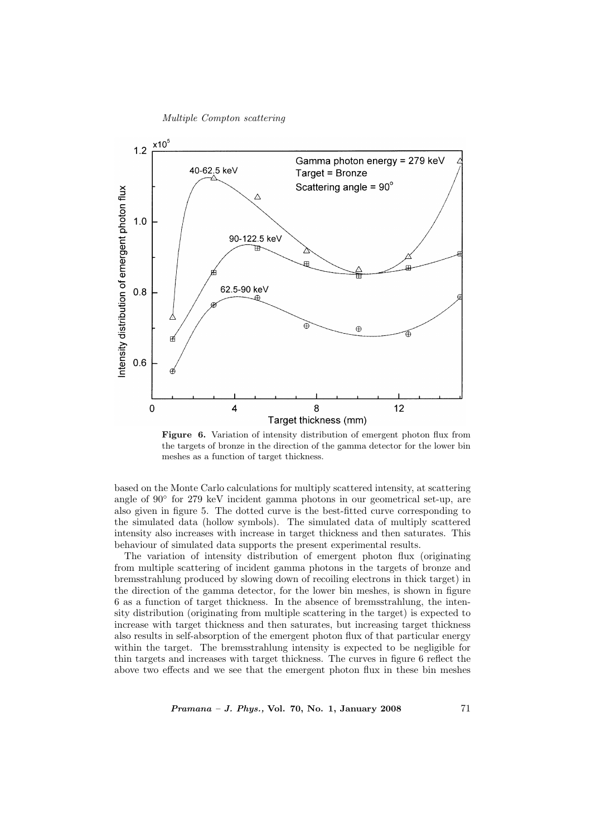Multiple Compton scattering



Figure 6. Variation of intensity distribution of emergent photon flux from the targets of bronze in the direction of the gamma detector for the lower bin meshes as a function of target thickness.

based on the Monte Carlo calculations for multiply scattered intensity, at scattering angle of 90° for 279 keV incident gamma photons in our geometrical set-up, are also given in figure 5. The dotted curve is the best-fitted curve corresponding to the simulated data (hollow symbols). The simulated data of multiply scattered intensity also increases with increase in target thickness and then saturates. This behaviour of simulated data supports the present experimental results.

The variation of intensity distribution of emergent photon flux (originating from multiple scattering of incident gamma photons in the targets of bronze and bremsstrahlung produced by slowing down of recoiling electrons in thick target) in the direction of the gamma detector, for the lower bin meshes, is shown in figure 6 as a function of target thickness. In the absence of bremsstrahlung, the intensity distribution (originating from multiple scattering in the target) is expected to increase with target thickness and then saturates, but increasing target thickness also results in self-absorption of the emergent photon flux of that particular energy within the target. The bremsstrahlung intensity is expected to be negligible for thin targets and increases with target thickness. The curves in figure 6 reflect the above two effects and we see that the emergent photon flux in these bin meshes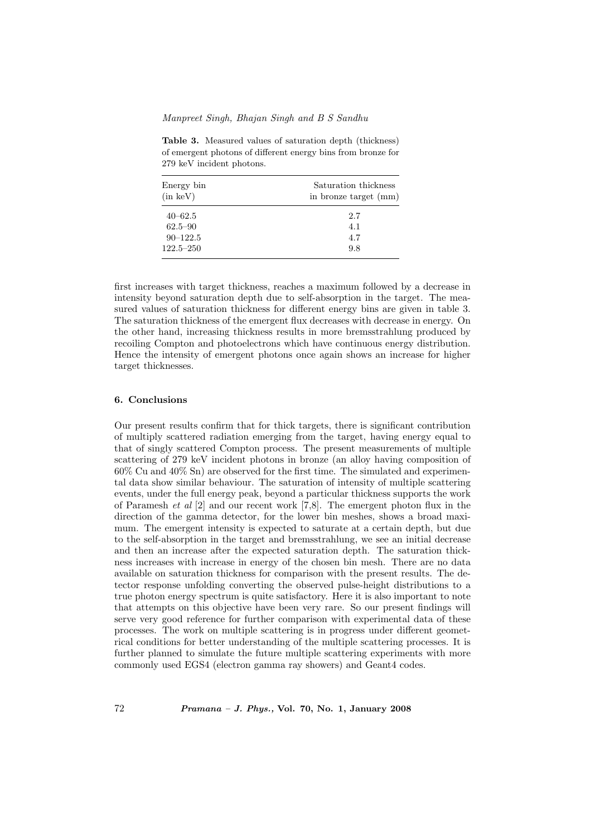## Manpreet Singh, Bhajan Singh and B S Sandhu

Table 3. Measured values of saturation depth (thickness) of emergent photons of different energy bins from bronze for 279 keV incident photons.

| Energy bin<br>$(in \ keV)$ | Saturation thickness<br>in bronze target (mm) |
|----------------------------|-----------------------------------------------|
| $40 - 62.5$                | 2.7                                           |
| $62.5 - 90$                | 4.1                                           |
| $90 - 122.5$               | 4.7                                           |
| $122.5 - 250$              | 9.8                                           |

first increases with target thickness, reaches a maximum followed by a decrease in intensity beyond saturation depth due to self-absorption in the target. The measured values of saturation thickness for different energy bins are given in table 3. The saturation thickness of the emergent flux decreases with decrease in energy. On the other hand, increasing thickness results in more bremsstrahlung produced by recoiling Compton and photoelectrons which have continuous energy distribution. Hence the intensity of emergent photons once again shows an increase for higher target thicknesses.

# 6. Conclusions

Our present results confirm that for thick targets, there is significant contribution of multiply scattered radiation emerging from the target, having energy equal to that of singly scattered Compton process. The present measurements of multiple scattering of 279 keV incident photons in bronze (an alloy having composition of 60% Cu and 40% Sn) are observed for the first time. The simulated and experimental data show similar behaviour. The saturation of intensity of multiple scattering events, under the full energy peak, beyond a particular thickness supports the work of Paramesh et al [2] and our recent work [7,8]. The emergent photon flux in the direction of the gamma detector, for the lower bin meshes, shows a broad maximum. The emergent intensity is expected to saturate at a certain depth, but due to the self-absorption in the target and bremsstrahlung, we see an initial decrease and then an increase after the expected saturation depth. The saturation thickness increases with increase in energy of the chosen bin mesh. There are no data available on saturation thickness for comparison with the present results. The detector response unfolding converting the observed pulse-height distributions to a true photon energy spectrum is quite satisfactory. Here it is also important to note that attempts on this objective have been very rare. So our present findings will serve very good reference for further comparison with experimental data of these processes. The work on multiple scattering is in progress under different geometrical conditions for better understanding of the multiple scattering processes. It is further planned to simulate the future multiple scattering experiments with more commonly used EGS4 (electron gamma ray showers) and Geant4 codes.